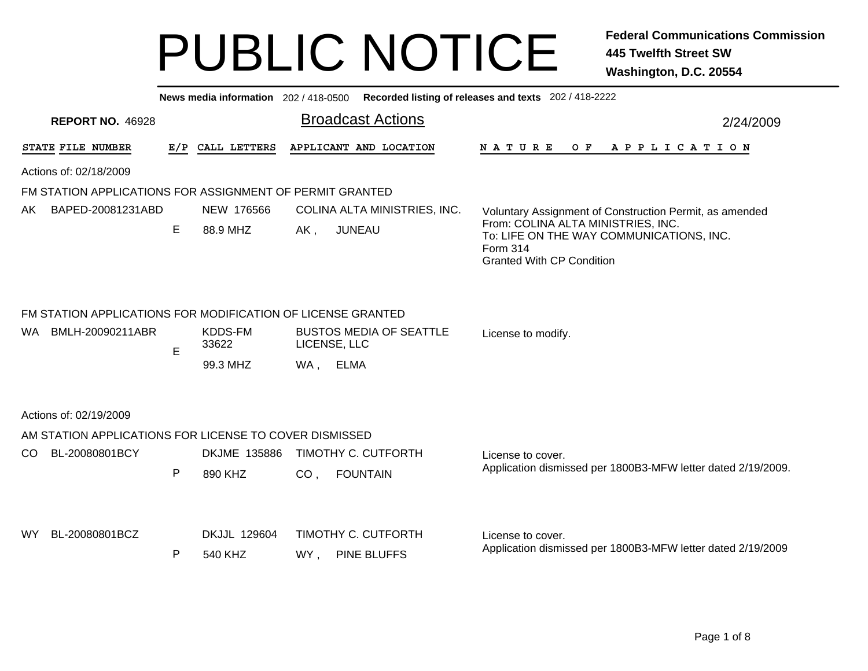|                                                                                                                                                                                                                     |                                                                                  |     |                         | News media information 202 / 418-0500 Recorded listing of releases and texts 202 / 418-2222 |                                           |                                                                                                                                |           |
|---------------------------------------------------------------------------------------------------------------------------------------------------------------------------------------------------------------------|----------------------------------------------------------------------------------|-----|-------------------------|---------------------------------------------------------------------------------------------|-------------------------------------------|--------------------------------------------------------------------------------------------------------------------------------|-----------|
|                                                                                                                                                                                                                     | <b>REPORT NO. 46928</b>                                                          |     |                         |                                                                                             | <b>Broadcast Actions</b>                  |                                                                                                                                | 2/24/2009 |
|                                                                                                                                                                                                                     | STATE FILE NUMBER                                                                | E/P | CALL LETTERS            |                                                                                             | APPLICANT AND LOCATION                    | A P P L I C A T I O N<br><b>NATURE</b><br>O F                                                                                  |           |
|                                                                                                                                                                                                                     | Actions of: 02/18/2009                                                           |     |                         |                                                                                             |                                           |                                                                                                                                |           |
|                                                                                                                                                                                                                     | FM STATION APPLICATIONS FOR ASSIGNMENT OF PERMIT GRANTED                         |     |                         |                                                                                             |                                           |                                                                                                                                |           |
| AK.                                                                                                                                                                                                                 | BAPED-20081231ABD                                                                |     | NEW 176566              |                                                                                             | COLINA ALTA MINISTRIES, INC.              | Voluntary Assignment of Construction Permit, as amended                                                                        |           |
|                                                                                                                                                                                                                     |                                                                                  | Е   | 88.9 MHZ                | AK,                                                                                         | <b>JUNEAU</b>                             | From: COLINA ALTA MINISTRIES, INC.<br>To: LIFE ON THE WAY COMMUNICATIONS, INC.<br>Form 314<br><b>Granted With CP Condition</b> |           |
| FM STATION APPLICATIONS FOR MODIFICATION OF LICENSE GRANTED<br>KDDS-FM<br>WA.<br>BMLH-20090211ABR<br><b>BUSTOS MEDIA OF SEATTLE</b><br>License to modify.<br>33622<br>LICENSE, LLC<br>Е<br>99.3 MHZ<br>WA ,<br>ELMA |                                                                                  |     |                         |                                                                                             |                                           |                                                                                                                                |           |
|                                                                                                                                                                                                                     | Actions of: 02/19/2009<br>AM STATION APPLICATIONS FOR LICENSE TO COVER DISMISSED |     |                         |                                                                                             |                                           |                                                                                                                                |           |
| CO.                                                                                                                                                                                                                 | BL-20080801BCY                                                                   |     | <b>DKJME 135886</b>     |                                                                                             | TIMOTHY C. CUTFORTH                       | License to cover.                                                                                                              |           |
|                                                                                                                                                                                                                     |                                                                                  | P   | 890 KHZ                 | CO <sub>1</sub>                                                                             | <b>FOUNTAIN</b>                           | Application dismissed per 1800B3-MFW letter dated 2/19/2009.                                                                   |           |
| WY.                                                                                                                                                                                                                 | BL-20080801BCZ                                                                   | P   | DKJJL 129604<br>540 KHZ | WY,                                                                                         | TIMOTHY C. CUTFORTH<br><b>PINE BLUFFS</b> | License to cover.<br>Application dismissed per 1800B3-MFW letter dated 2/19/2009                                               |           |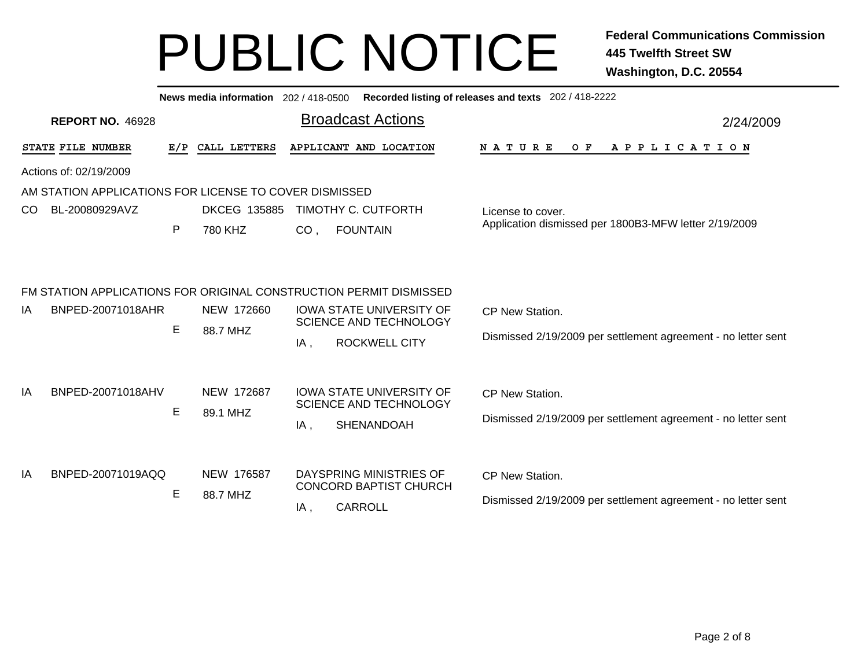| <b>Broadcast Actions</b><br><b>REPORT NO. 46928</b><br>2/24/2009<br>STATE FILE NUMBER<br>E/P<br>CALL LETTERS<br>APPLICANT AND LOCATION<br>NATURE<br>O F<br>A P P L I C A T I O N<br>Actions of: 02/19/2009<br>AM STATION APPLICATIONS FOR LICENSE TO COVER DISMISSED<br><b>DKCEG 135885</b><br>TIMOTHY C. CUTFORTH<br>BL-20080929AVZ<br>CO.<br>License to cover.<br>Application dismissed per 1800B3-MFW letter 2/19/2009<br>P<br>780 KHZ<br>CO <sub>1</sub><br><b>FOUNTAIN</b><br>FM STATION APPLICATIONS FOR ORIGINAL CONSTRUCTION PERMIT DISMISSED<br>BNPED-20071018AHR<br>NEW 172660<br><b>IOWA STATE UNIVERSITY OF</b><br>ΙA<br>CP New Station.<br><b>SCIENCE AND TECHNOLOGY</b><br>E<br>88.7 MHZ<br>Dismissed 2/19/2009 per settlement agreement - no letter sent<br><b>ROCKWELL CITY</b><br>IA,<br>BNPED-20071018AHV<br>NEW 172687<br><b>IOWA STATE UNIVERSITY OF</b><br>IA<br>CP New Station.<br><b>SCIENCE AND TECHNOLOGY</b><br>E<br>89.1 MHZ<br>Dismissed 2/19/2009 per settlement agreement - no letter sent<br>SHENANDOAH<br>$IA$ , |    |                   |  | News media information 202 / 418-0500 |  |  | Recorded listing of releases and texts 202 / 418-2222 |  |  |  |
|--------------------------------------------------------------------------------------------------------------------------------------------------------------------------------------------------------------------------------------------------------------------------------------------------------------------------------------------------------------------------------------------------------------------------------------------------------------------------------------------------------------------------------------------------------------------------------------------------------------------------------------------------------------------------------------------------------------------------------------------------------------------------------------------------------------------------------------------------------------------------------------------------------------------------------------------------------------------------------------------------------------------------------------------------|----|-------------------|--|---------------------------------------|--|--|-------------------------------------------------------|--|--|--|
|                                                                                                                                                                                                                                                                                                                                                                                                                                                                                                                                                                                                                                                                                                                                                                                                                                                                                                                                                                                                                                                  |    |                   |  |                                       |  |  |                                                       |  |  |  |
|                                                                                                                                                                                                                                                                                                                                                                                                                                                                                                                                                                                                                                                                                                                                                                                                                                                                                                                                                                                                                                                  |    |                   |  |                                       |  |  |                                                       |  |  |  |
|                                                                                                                                                                                                                                                                                                                                                                                                                                                                                                                                                                                                                                                                                                                                                                                                                                                                                                                                                                                                                                                  |    |                   |  |                                       |  |  |                                                       |  |  |  |
|                                                                                                                                                                                                                                                                                                                                                                                                                                                                                                                                                                                                                                                                                                                                                                                                                                                                                                                                                                                                                                                  |    |                   |  |                                       |  |  |                                                       |  |  |  |
|                                                                                                                                                                                                                                                                                                                                                                                                                                                                                                                                                                                                                                                                                                                                                                                                                                                                                                                                                                                                                                                  |    |                   |  |                                       |  |  |                                                       |  |  |  |
|                                                                                                                                                                                                                                                                                                                                                                                                                                                                                                                                                                                                                                                                                                                                                                                                                                                                                                                                                                                                                                                  |    |                   |  |                                       |  |  |                                                       |  |  |  |
|                                                                                                                                                                                                                                                                                                                                                                                                                                                                                                                                                                                                                                                                                                                                                                                                                                                                                                                                                                                                                                                  |    |                   |  |                                       |  |  |                                                       |  |  |  |
|                                                                                                                                                                                                                                                                                                                                                                                                                                                                                                                                                                                                                                                                                                                                                                                                                                                                                                                                                                                                                                                  |    |                   |  |                                       |  |  |                                                       |  |  |  |
|                                                                                                                                                                                                                                                                                                                                                                                                                                                                                                                                                                                                                                                                                                                                                                                                                                                                                                                                                                                                                                                  |    |                   |  |                                       |  |  |                                                       |  |  |  |
|                                                                                                                                                                                                                                                                                                                                                                                                                                                                                                                                                                                                                                                                                                                                                                                                                                                                                                                                                                                                                                                  |    |                   |  |                                       |  |  |                                                       |  |  |  |
|                                                                                                                                                                                                                                                                                                                                                                                                                                                                                                                                                                                                                                                                                                                                                                                                                                                                                                                                                                                                                                                  |    |                   |  |                                       |  |  |                                                       |  |  |  |
|                                                                                                                                                                                                                                                                                                                                                                                                                                                                                                                                                                                                                                                                                                                                                                                                                                                                                                                                                                                                                                                  |    |                   |  |                                       |  |  |                                                       |  |  |  |
|                                                                                                                                                                                                                                                                                                                                                                                                                                                                                                                                                                                                                                                                                                                                                                                                                                                                                                                                                                                                                                                  |    |                   |  |                                       |  |  |                                                       |  |  |  |
|                                                                                                                                                                                                                                                                                                                                                                                                                                                                                                                                                                                                                                                                                                                                                                                                                                                                                                                                                                                                                                                  |    |                   |  |                                       |  |  |                                                       |  |  |  |
|                                                                                                                                                                                                                                                                                                                                                                                                                                                                                                                                                                                                                                                                                                                                                                                                                                                                                                                                                                                                                                                  |    |                   |  |                                       |  |  |                                                       |  |  |  |
|                                                                                                                                                                                                                                                                                                                                                                                                                                                                                                                                                                                                                                                                                                                                                                                                                                                                                                                                                                                                                                                  |    |                   |  |                                       |  |  |                                                       |  |  |  |
|                                                                                                                                                                                                                                                                                                                                                                                                                                                                                                                                                                                                                                                                                                                                                                                                                                                                                                                                                                                                                                                  |    |                   |  |                                       |  |  |                                                       |  |  |  |
| DAYSPRING MINISTRIES OF                                                                                                                                                                                                                                                                                                                                                                                                                                                                                                                                                                                                                                                                                                                                                                                                                                                                                                                                                                                                                          | IA | BNPED-20071019AQQ |  | NEW 176587                            |  |  | CP New Station.                                       |  |  |  |
| CONCORD BAPTIST CHURCH<br>E<br>88.7 MHZ<br>Dismissed 2/19/2009 per settlement agreement - no letter sent<br><b>CARROLL</b><br>IA,                                                                                                                                                                                                                                                                                                                                                                                                                                                                                                                                                                                                                                                                                                                                                                                                                                                                                                                |    |                   |  |                                       |  |  |                                                       |  |  |  |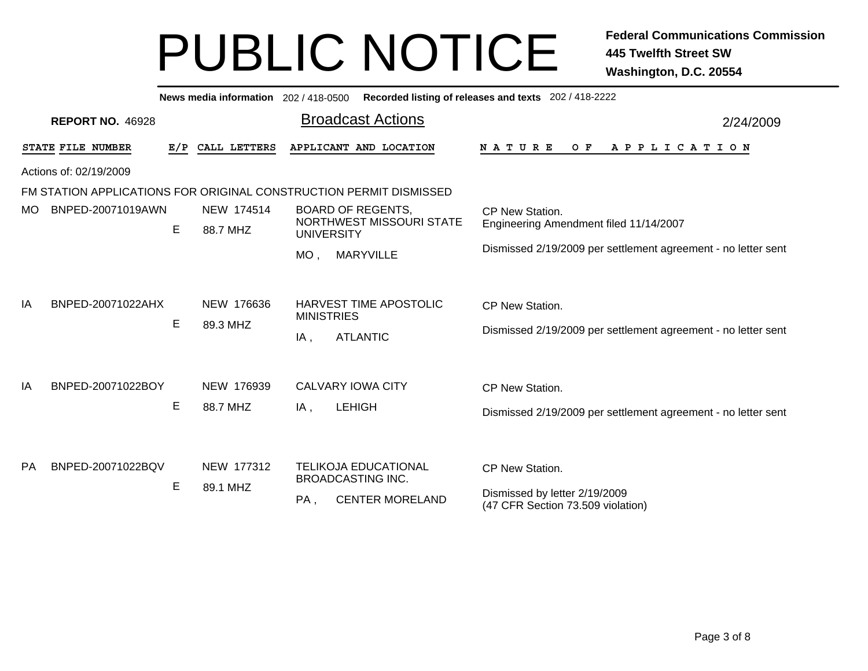|           |                         |     |                        |                          | News media information 202 / 418-0500 Recorded listing of releases and texts 202 / 418-2222 |                                                                                       |
|-----------|-------------------------|-----|------------------------|--------------------------|---------------------------------------------------------------------------------------------|---------------------------------------------------------------------------------------|
|           | <b>REPORT NO. 46928</b> |     |                        |                          | <b>Broadcast Actions</b>                                                                    | 2/24/2009                                                                             |
|           | STATE FILE NUMBER       | E/P | CALL LETTERS           |                          | APPLICANT AND LOCATION                                                                      | <b>NATURE</b><br>O F<br>A P P L I C A T I O N                                         |
|           | Actions of: 02/19/2009  |     |                        |                          |                                                                                             |                                                                                       |
|           |                         |     |                        |                          | FM STATION APPLICATIONS FOR ORIGINAL CONSTRUCTION PERMIT DISMISSED                          |                                                                                       |
| MO.       | BNPED-20071019AWN       |     | NEW 174514             |                          | <b>BOARD OF REGENTS.</b>                                                                    | CP New Station.                                                                       |
|           |                         | E   | 88.7 MHZ               | <b>UNIVERSITY</b>        | NORTHWEST MISSOURI STATE                                                                    | Engineering Amendment filed 11/14/2007                                                |
|           |                         |     |                        | $MO$ ,                   | <b>MARYVILLE</b>                                                                            | Dismissed 2/19/2009 per settlement agreement - no letter sent                         |
| IA        | BNPED-20071022AHX       | Е   | NEW 176636<br>89.3 MHZ | <b>MINISTRIES</b><br>IA, | <b>HARVEST TIME APOSTOLIC</b><br><b>ATLANTIC</b>                                            | CP New Station.<br>Dismissed 2/19/2009 per settlement agreement - no letter sent      |
| IA        | BNPED-20071022BOY       | Е   | NEW 176939<br>88.7 MHZ | IA,                      | <b>CALVARY IOWA CITY</b><br><b>LEHIGH</b>                                                   | CP New Station.<br>Dismissed 2/19/2009 per settlement agreement - no letter sent      |
| <b>PA</b> | BNPED-20071022BQV       | Е   | NEW 177312<br>89.1 MHZ | PA,                      | <b>TELIKOJA EDUCATIONAL</b><br><b>BROADCASTING INC.</b><br><b>CENTER MORELAND</b>           | CP New Station.<br>Dismissed by letter 2/19/2009<br>(47 CFR Section 73.509 violation) |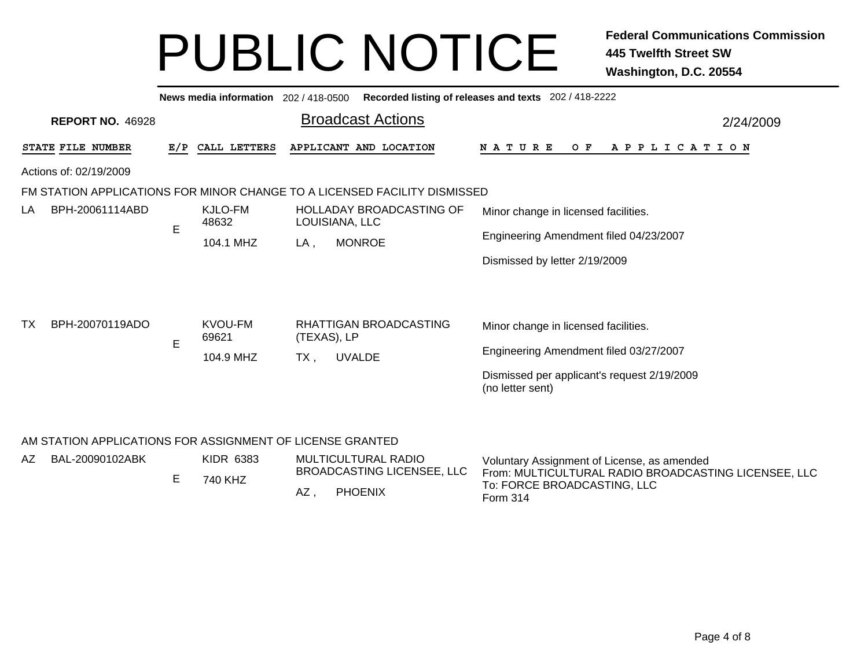|                                                           |     | News media information 202/418-0500 |                                        |                                                                           | Recorded listing of releases and texts 202 / 418-2222           |  |  |  |  |
|-----------------------------------------------------------|-----|-------------------------------------|----------------------------------------|---------------------------------------------------------------------------|-----------------------------------------------------------------|--|--|--|--|
| <b>REPORT NO. 46928</b>                                   |     |                                     |                                        | <b>Broadcast Actions</b>                                                  | 2/24/2009                                                       |  |  |  |  |
| STATE FILE NUMBER                                         | E/P | CALL LETTERS                        |                                        | APPLICANT AND LOCATION                                                    | NATURE<br>O F<br>A P P L I C A T I O N                          |  |  |  |  |
| Actions of: 02/19/2009                                    |     |                                     |                                        |                                                                           |                                                                 |  |  |  |  |
|                                                           |     |                                     |                                        | FM STATION APPLICATIONS FOR MINOR CHANGE TO A LICENSED FACILITY DISMISSED |                                                                 |  |  |  |  |
| BPH-20061114ABD<br>LA                                     | E   | KJLO-FM<br>48632                    |                                        | <b>HOLLADAY BROADCASTING OF</b><br>LOUISIANA, LLC                         | Minor change in licensed facilities.                            |  |  |  |  |
|                                                           |     | 104.1 MHZ                           | LA,                                    | <b>MONROE</b>                                                             | Engineering Amendment filed 04/23/2007                          |  |  |  |  |
|                                                           |     |                                     |                                        |                                                                           | Dismissed by letter 2/19/2009                                   |  |  |  |  |
| BPH-20070119ADO<br>ТX                                     |     | KVOU-FM                             |                                        | RHATTIGAN BROADCASTING                                                    | Minor change in licensed facilities.                            |  |  |  |  |
|                                                           | E   | 69621                               | (TEXAS), LP<br><b>UVALDE</b><br>$TX$ , |                                                                           | Engineering Amendment filed 03/27/2007                          |  |  |  |  |
|                                                           |     | 104.9 MHZ                           |                                        |                                                                           |                                                                 |  |  |  |  |
|                                                           |     |                                     |                                        |                                                                           | Dismissed per applicant's request 2/19/2009<br>(no letter sent) |  |  |  |  |
| AM STATION APPLICATIONS FOR ASSIGNMENT OF LICENSE GRANTED |     |                                     |                                        |                                                                           |                                                                 |  |  |  |  |

| AZ. | BAL-20090102ABK |  | KIDR 6383<br>740 KHZ | MULTICULTURAL RADIO<br>BROADCASTING LICENSEE, LLC |                | Voluntary Assignment of License, as amended<br>From: MULTICULTURAL RADIO BROADCASTING LICENSEE, LLC |
|-----|-----------------|--|----------------------|---------------------------------------------------|----------------|-----------------------------------------------------------------------------------------------------|
|     |                 |  |                      | AZ                                                | <b>PHOENIX</b> | To: FORCE BROADCASTING, LLC<br>Form 314                                                             |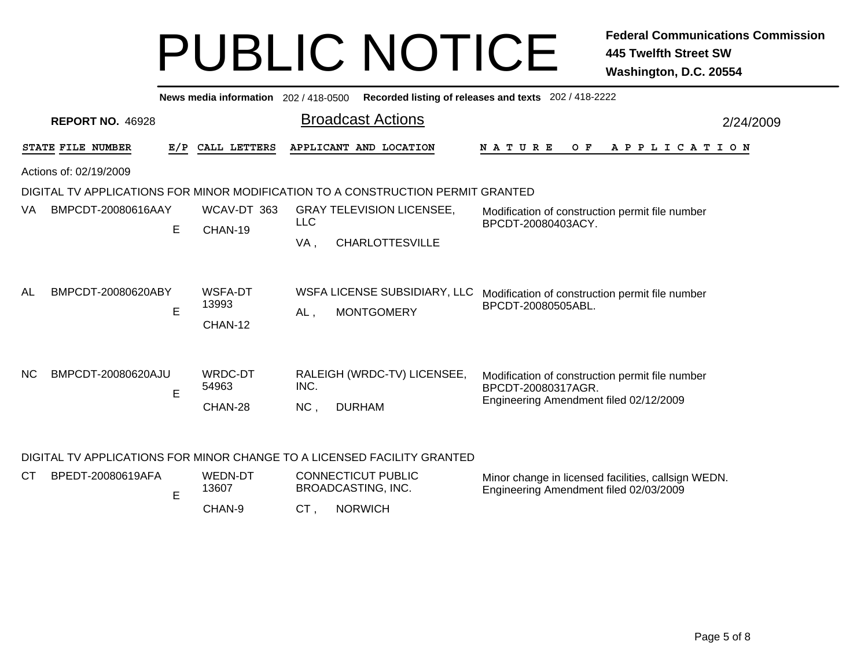|                           |     | News media information 202 / 418-0500 |             |                                                                                 | Recorded listing of releases and texts 202 / 418-2222                                                           |           |
|---------------------------|-----|---------------------------------------|-------------|---------------------------------------------------------------------------------|-----------------------------------------------------------------------------------------------------------------|-----------|
| <b>REPORT NO. 46928</b>   |     |                                       |             | <b>Broadcast Actions</b>                                                        |                                                                                                                 | 2/24/2009 |
| STATE FILE NUMBER         | E/P | CALL LETTERS                          |             | APPLICANT AND LOCATION                                                          | <b>NATURE</b><br>$O$ $F$<br>A P P L I C A T I O N                                                               |           |
| Actions of: 02/19/2009    |     |                                       |             |                                                                                 |                                                                                                                 |           |
|                           |     |                                       |             | DIGITAL TV APPLICATIONS FOR MINOR MODIFICATION TO A CONSTRUCTION PERMIT GRANTED |                                                                                                                 |           |
| BMPCDT-20080616AAY<br>VA. | E   | WCAV-DT 363<br>CHAN-19                | <b>LLC</b>  | <b>GRAY TELEVISION LICENSEE,</b>                                                | Modification of construction permit file number<br>BPCDT-20080403ACY.                                           |           |
|                           |     |                                       | VA,         | <b>CHARLOTTESVILLE</b>                                                          |                                                                                                                 |           |
| BMPCDT-20080620ABY<br>AL  | E   | WSFA-DT<br>13993<br>CHAN-12           | $AL$ ,      | WSFA LICENSE SUBSIDIARY, LLC<br><b>MONTGOMERY</b>                               | Modification of construction permit file number<br>BPCDT-20080505ABL.                                           |           |
| NC.<br>BMPCDT-20080620AJU | E   | WRDC-DT<br>54963<br>CHAN-28           | INC.<br>NC, | RALEIGH (WRDC-TV) LICENSEE,<br><b>DURHAM</b>                                    | Modification of construction permit file number<br>BPCDT-20080317AGR.<br>Engineering Amendment filed 02/12/2009 |           |

#### DIGITAL TV APPLICATIONS FOR MINOR CHANGE TO A LICENSED FACILITY GRANTED

| <b>CT</b> | BPEDT-20080619AFA | WEDN-DT<br>3607، | <b>CONNECTICUT PUBLIC</b><br>BROADCASTING, INC. |                | Minor change in licensed facilities, callsign WEDN.<br>Engineering Amendment filed 02/03/2009 |
|-----------|-------------------|------------------|-------------------------------------------------|----------------|-----------------------------------------------------------------------------------------------|
|           |                   | CHAN-9           | СT                                              | <b>NORWICH</b> |                                                                                               |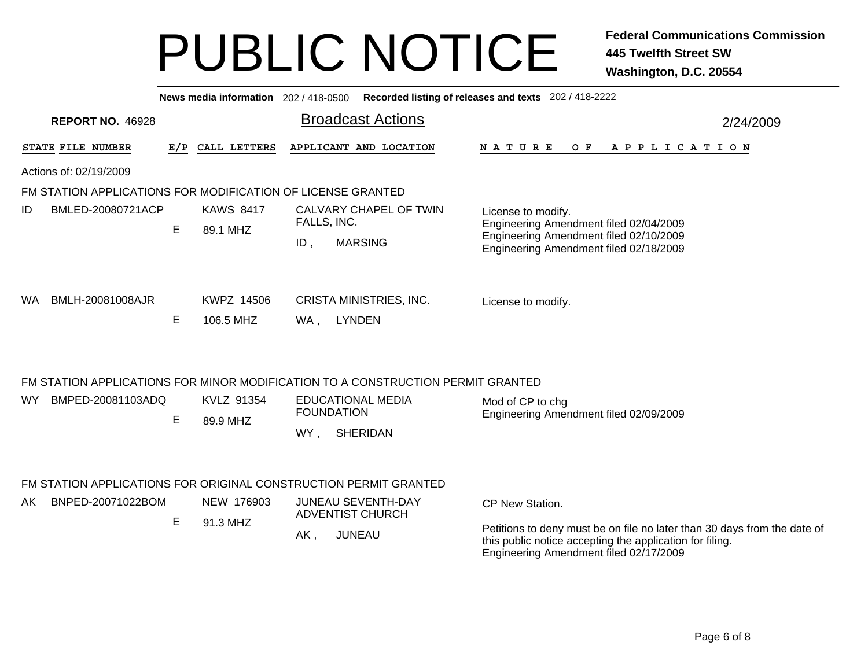|                                                                  |   |                              | News media information 202/418-0500 Recorded listing of releases and texts 202/418-2222                                                                                                                            |           |  |  |  |
|------------------------------------------------------------------|---|------------------------------|--------------------------------------------------------------------------------------------------------------------------------------------------------------------------------------------------------------------|-----------|--|--|--|
| <b>REPORT NO. 46928</b>                                          |   |                              | <b>Broadcast Actions</b>                                                                                                                                                                                           | 2/24/2009 |  |  |  |
| STATE FILE NUMBER                                                |   | E/P CALL LETTERS             | APPLICANT AND LOCATION<br>N A T U R E<br>OF APPLICATION                                                                                                                                                            |           |  |  |  |
| Actions of: 02/19/2009                                           |   |                              |                                                                                                                                                                                                                    |           |  |  |  |
| FM STATION APPLICATIONS FOR MODIFICATION OF LICENSE GRANTED      |   |                              |                                                                                                                                                                                                                    |           |  |  |  |
| BMLED-20080721ACP<br>ID                                          | E | <b>KAWS 8417</b><br>89.1 MHZ | CALVARY CHAPEL OF TWIN<br>License to modify.<br>FALLS, INC.<br>Engineering Amendment filed 02/04/2009<br>Engineering Amendment filed 02/10/2009<br><b>MARSING</b><br>ID,<br>Engineering Amendment filed 02/18/2009 |           |  |  |  |
| BMLH-20081008AJR<br>WA.                                          | E | KWPZ 14506<br>106.5 MHZ      | <b>CRISTA MINISTRIES, INC.</b><br>License to modify.<br><b>LYNDEN</b><br>WA,                                                                                                                                       |           |  |  |  |
|                                                                  |   |                              | FM STATION APPLICATIONS FOR MINOR MODIFICATION TO A CONSTRUCTION PERMIT GRANTED                                                                                                                                    |           |  |  |  |
| BMPED-20081103ADQ<br>WY.                                         | E | KVLZ 91354<br>89.9 MHZ       | <b>EDUCATIONAL MEDIA</b><br>Mod of CP to chg<br><b>FOUNDATION</b><br>Engineering Amendment filed 02/09/2009<br>WY,<br><b>SHERIDAN</b>                                                                              |           |  |  |  |
| FM STATION APPLICATIONS FOR ORIGINAL CONSTRUCTION PERMIT GRANTED |   |                              |                                                                                                                                                                                                                    |           |  |  |  |
| BNPED-20071022BOM<br>AK.                                         |   | NEW 176903                   | <b>JUNEAU SEVENTH-DAY</b><br>CP New Station.<br><b>ADVENTIST CHURCH</b>                                                                                                                                            |           |  |  |  |
|                                                                  | E | 91.3 MHZ                     | Petitions to deny must be on file no later than 30 days from the date of<br><b>JUNEAU</b><br>$AK$ ,<br>this public notice accepting the application for filing.<br>Engineering Amendment filed 02/17/2009          |           |  |  |  |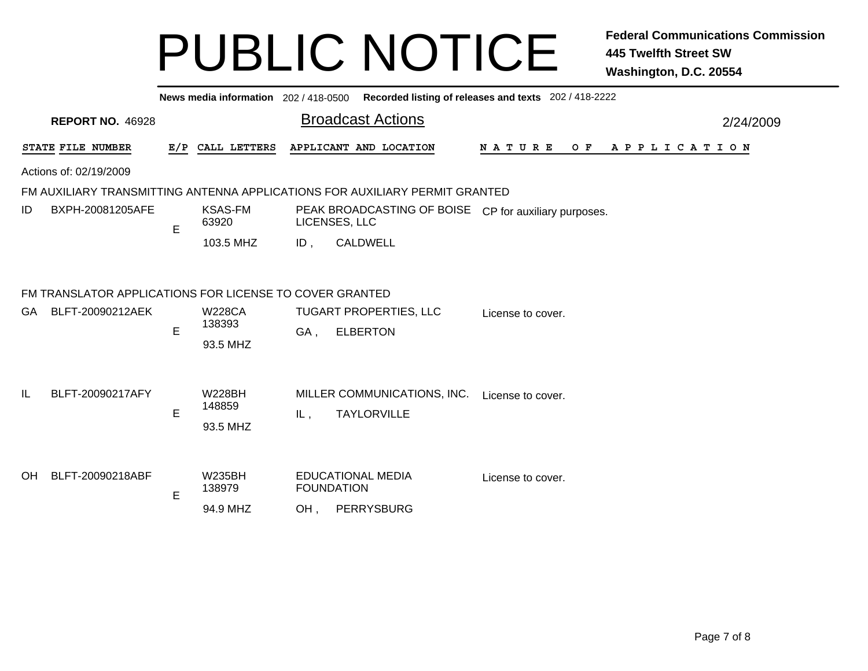|    |                                                         |   |                                     |     |                                                                             | News media information 202 / 418-0500 Recorded listing of releases and texts 202 / 418-2222 |
|----|---------------------------------------------------------|---|-------------------------------------|-----|-----------------------------------------------------------------------------|---------------------------------------------------------------------------------------------|
|    | <b>REPORT NO. 46928</b>                                 |   |                                     |     | <b>Broadcast Actions</b>                                                    | 2/24/2009                                                                                   |
|    | STATE FILE NUMBER                                       |   | E/P CALL LETTERS                    |     | APPLICANT AND LOCATION                                                      | <b>NATURE</b><br>OF APPLICATION                                                             |
|    | Actions of: 02/19/2009                                  |   |                                     |     |                                                                             |                                                                                             |
|    |                                                         |   |                                     |     | FM AUXILIARY TRANSMITTING ANTENNA APPLICATIONS FOR AUXILIARY PERMIT GRANTED |                                                                                             |
| ID | BXPH-20081205AFE                                        | E | <b>KSAS-FM</b><br>63920             |     | PEAK BROADCASTING OF BOISE CP for auxiliary purposes.<br>LICENSES, LLC      |                                                                                             |
|    |                                                         |   | 103.5 MHZ                           | ID, | <b>CALDWELL</b>                                                             |                                                                                             |
|    | FM TRANSLATOR APPLICATIONS FOR LICENSE TO COVER GRANTED |   |                                     |     |                                                                             |                                                                                             |
|    | GA BLFT-20090212AEK                                     | E | <b>W228CA</b><br>138393<br>93.5 MHZ | GA, | TUGART PROPERTIES, LLC<br><b>ELBERTON</b>                                   | License to cover.                                                                           |
| IL | BLFT-20090217AFY                                        | E | <b>W228BH</b><br>148859<br>93.5 MHZ | IL, | MILLER COMMUNICATIONS, INC.<br><b>TAYLORVILLE</b>                           | License to cover.                                                                           |
| OH | BLFT-20090218ABF                                        | E | <b>W235BH</b><br>138979<br>94.9 MHZ | OH, | <b>EDUCATIONAL MEDIA</b><br><b>FOUNDATION</b><br>PERRYSBURG                 | License to cover.                                                                           |